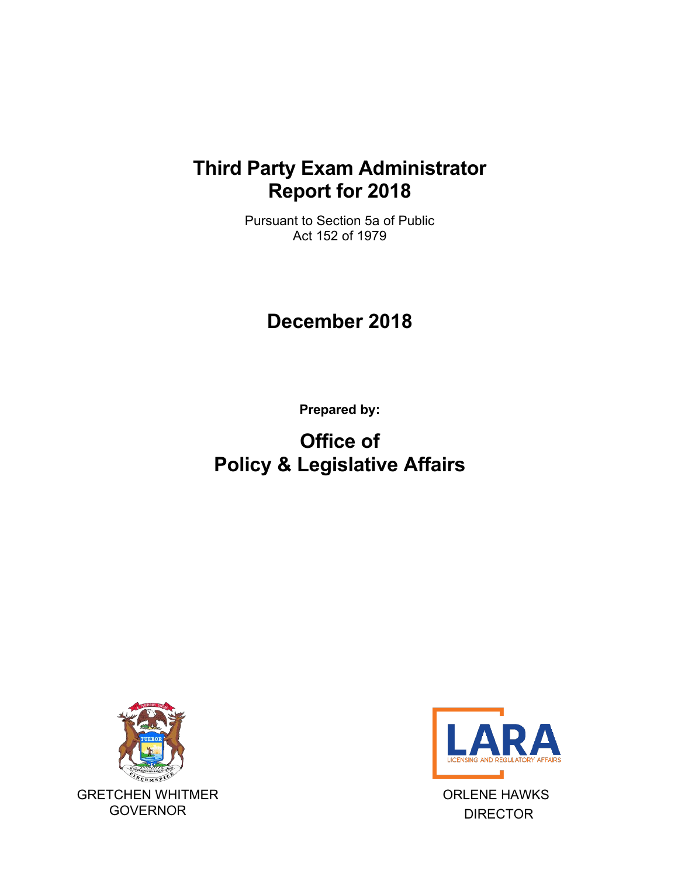## **Third Party Exam Administrator Report for 2018**

Pursuant to Section 5a of Public Act 152 of 1979

## **December 2018**

**Prepared by:**

# **Office of Policy & Legislative Affairs**





ORLENE HAWKS DIRECTOR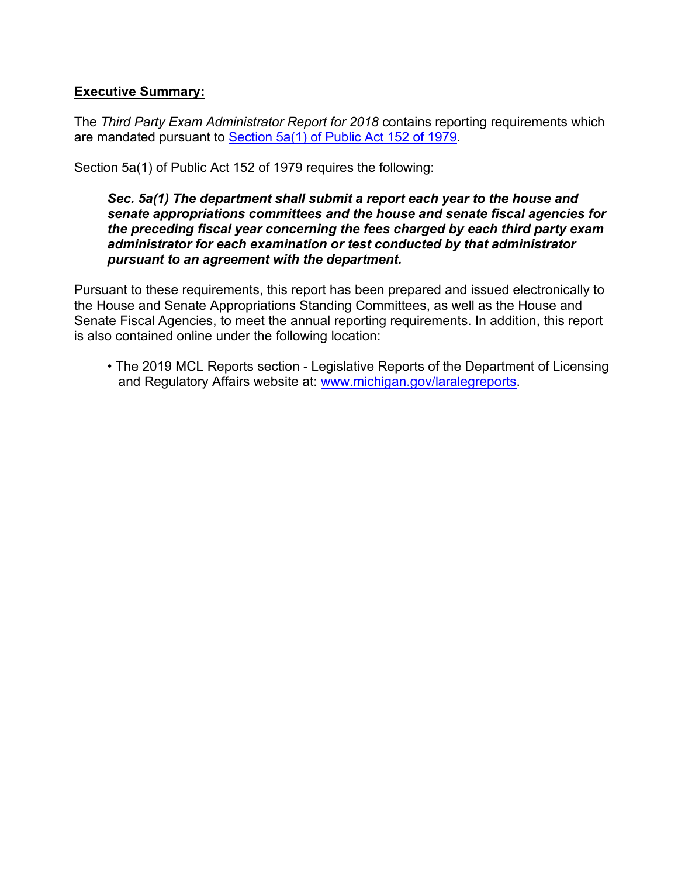### **Executive Summary:**

The *Third Party Exam Administrator Report for 2018* contains reporting requirements which are mandated pursuant to [Section 5a\(1\) of Public Act 152 of 1979.](http://www.legislature.mi.gov/(S(yfgql5jzjssepm3qxw3g0qhd))/mileg.aspx?page=GetObject&objectname=mcl-338-2205a)

Section 5a(1) of Public Act 152 of 1979 requires the following:

#### *Sec. 5a(1) The department shall submit a report each year to the house and senate appropriations committees and the house and senate fiscal agencies for the preceding fiscal year concerning the fees charged by each third party exam administrator for each examination or test conducted by that administrator pursuant to an agreement with the department.*

Pursuant to these requirements, this report has been prepared and issued electronically to the House and Senate Appropriations Standing Committees, as well as the House and Senate Fiscal Agencies, to meet the annual reporting requirements. In addition, this report is also contained online under the following location:

• The 2019 MCL Reports section - Legislative Reports of the Department of Licensing and Regulatory Affairs website at: [www.michigan.gov/laral](http://www.michigan.gov/lara)egreports.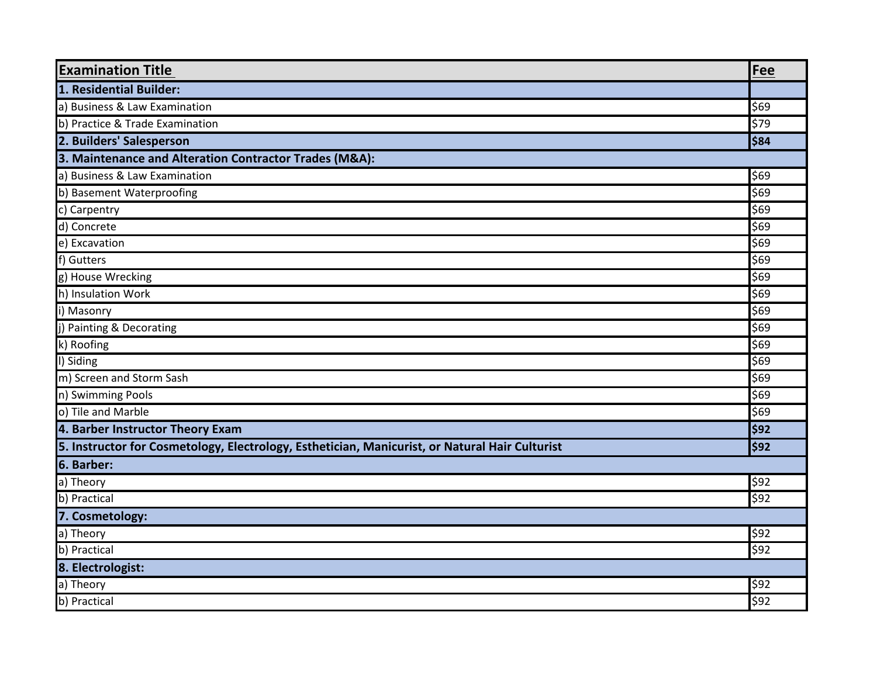| <b>Examination Title</b>                                                                       | Fee  |  |
|------------------------------------------------------------------------------------------------|------|--|
| 1. Residential Builder:                                                                        |      |  |
| a) Business & Law Examination                                                                  | \$69 |  |
| b) Practice & Trade Examination                                                                | \$79 |  |
| 2. Builders' Salesperson                                                                       | \$84 |  |
| 3. Maintenance and Alteration Contractor Trades (M&A):                                         |      |  |
| a) Business & Law Examination                                                                  | \$69 |  |
| b) Basement Waterproofing                                                                      | \$69 |  |
| c) Carpentry                                                                                   | \$69 |  |
| d) Concrete                                                                                    | \$69 |  |
| e) Excavation                                                                                  | \$69 |  |
| f) Gutters                                                                                     | \$69 |  |
| g) House Wrecking                                                                              | \$69 |  |
| h) Insulation Work                                                                             | \$69 |  |
| i) Masonry                                                                                     | \$69 |  |
| j) Painting & Decorating                                                                       | \$69 |  |
| k) Roofing                                                                                     | \$69 |  |
| I) Siding                                                                                      | \$69 |  |
| m) Screen and Storm Sash                                                                       | \$69 |  |
| n) Swimming Pools                                                                              | \$69 |  |
| o) Tile and Marble                                                                             | \$69 |  |
| 4. Barber Instructor Theory Exam                                                               | \$92 |  |
| 5. Instructor for Cosmetology, Electrology, Esthetician, Manicurist, or Natural Hair Culturist | \$92 |  |
| 6. Barber:                                                                                     |      |  |
| a) Theory                                                                                      | \$92 |  |
| b) Practical                                                                                   | \$92 |  |
| 7. Cosmetology:                                                                                |      |  |
| a) Theory                                                                                      | \$92 |  |
| b) Practical                                                                                   | \$92 |  |
| 8. Electrologist:                                                                              |      |  |
| a) Theory                                                                                      | \$92 |  |
| b) Practical                                                                                   | \$92 |  |